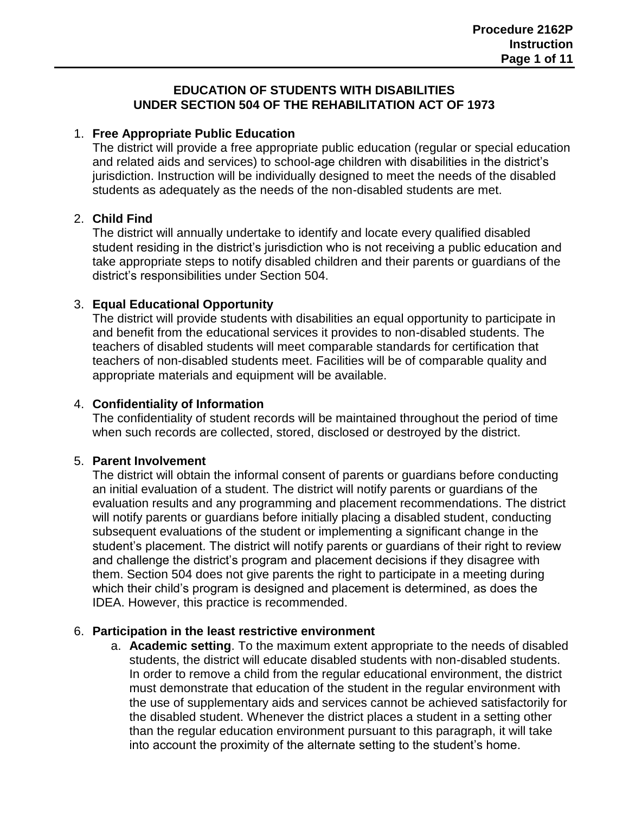#### **EDUCATION OF STUDENTS WITH DISABILITIES UNDER SECTION 504 OF THE REHABILITATION ACT OF 1973**

# 1. **Free Appropriate Public Education**

The district will provide a free appropriate public education (regular or special education and related aids and services) to school-age children with disabilities in the district's jurisdiction. Instruction will be individually designed to meet the needs of the disabled students as adequately as the needs of the non-disabled students are met.

## 2. **Child Find**

The district will annually undertake to identify and locate every qualified disabled student residing in the district's jurisdiction who is not receiving a public education and take appropriate steps to notify disabled children and their parents or guardians of the district's responsibilities under Section 504.

## 3. **Equal Educational Opportunity**

The district will provide students with disabilities an equal opportunity to participate in and benefit from the educational services it provides to non-disabled students. The teachers of disabled students will meet comparable standards for certification that teachers of non-disabled students meet. Facilities will be of comparable quality and appropriate materials and equipment will be available.

### 4. **Confidentiality of Information**

The confidentiality of student records will be maintained throughout the period of time when such records are collected, stored, disclosed or destroyed by the district.

#### 5. **Parent Involvement**

The district will obtain the informal consent of parents or guardians before conducting an initial evaluation of a student. The district will notify parents or guardians of the evaluation results and any programming and placement recommendations. The district will notify parents or guardians before initially placing a disabled student, conducting subsequent evaluations of the student or implementing a significant change in the student's placement. The district will notify parents or guardians of their right to review and challenge the district's program and placement decisions if they disagree with them. Section 504 does not give parents the right to participate in a meeting during which their child's program is designed and placement is determined, as does the IDEA. However, this practice is recommended.

#### 6. **Participation in the least restrictive environment**

a. **Academic setting**. To the maximum extent appropriate to the needs of disabled students, the district will educate disabled students with non-disabled students. In order to remove a child from the regular educational environment, the district must demonstrate that education of the student in the regular environment with the use of supplementary aids and services cannot be achieved satisfactorily for the disabled student. Whenever the district places a student in a setting other than the regular education environment pursuant to this paragraph, it will take into account the proximity of the alternate setting to the student's home.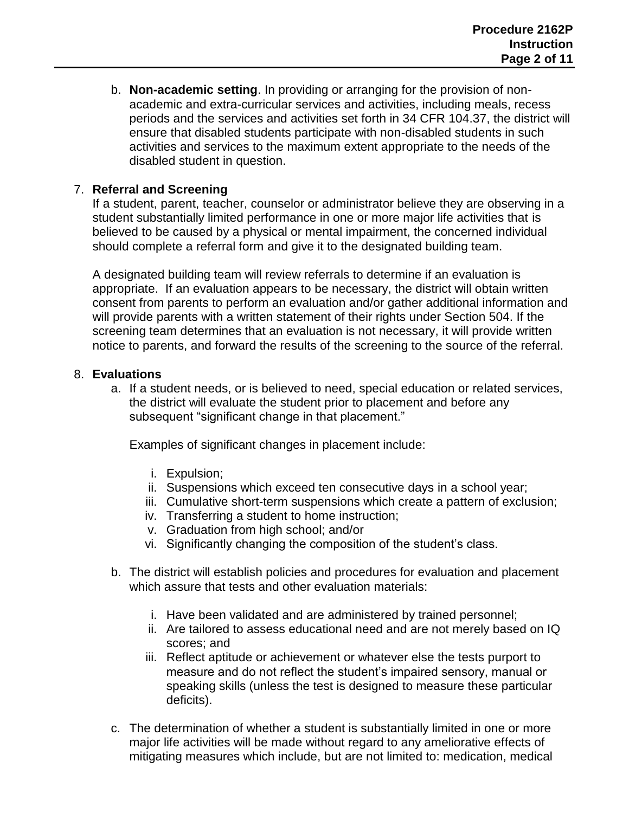b. **Non-academic setting**. In providing or arranging for the provision of nonacademic and extra-curricular services and activities, including meals, recess periods and the services and activities set forth in 34 CFR 104.37, the district will ensure that disabled students participate with non-disabled students in such activities and services to the maximum extent appropriate to the needs of the disabled student in question.

# 7. **Referral and Screening**

If a student, parent, teacher, counselor or administrator believe they are observing in a student substantially limited performance in one or more major life activities that is believed to be caused by a physical or mental impairment, the concerned individual should complete a referral form and give it to the designated building team.

A designated building team will review referrals to determine if an evaluation is appropriate. If an evaluation appears to be necessary, the district will obtain written consent from parents to perform an evaluation and/or gather additional information and will provide parents with a written statement of their rights under Section 504. If the screening team determines that an evaluation is not necessary, it will provide written notice to parents, and forward the results of the screening to the source of the referral.

#### 8. **Evaluations**

a. If a student needs, or is believed to need, special education or related services, the district will evaluate the student prior to placement and before any subsequent "significant change in that placement."

Examples of significant changes in placement include:

- i. Expulsion;
- ii. Suspensions which exceed ten consecutive days in a school year;
- iii. Cumulative short-term suspensions which create a pattern of exclusion;
- iv. Transferring a student to home instruction;
- v. Graduation from high school; and/or
- vi. Significantly changing the composition of the student's class.
- b. The district will establish policies and procedures for evaluation and placement which assure that tests and other evaluation materials:
	- i. Have been validated and are administered by trained personnel;
	- ii. Are tailored to assess educational need and are not merely based on IQ scores; and
	- iii. Reflect aptitude or achievement or whatever else the tests purport to measure and do not reflect the student's impaired sensory, manual or speaking skills (unless the test is designed to measure these particular deficits).
- c. The determination of whether a student is substantially limited in one or more major life activities will be made without regard to any ameliorative effects of mitigating measures which include, but are not limited to: medication, medical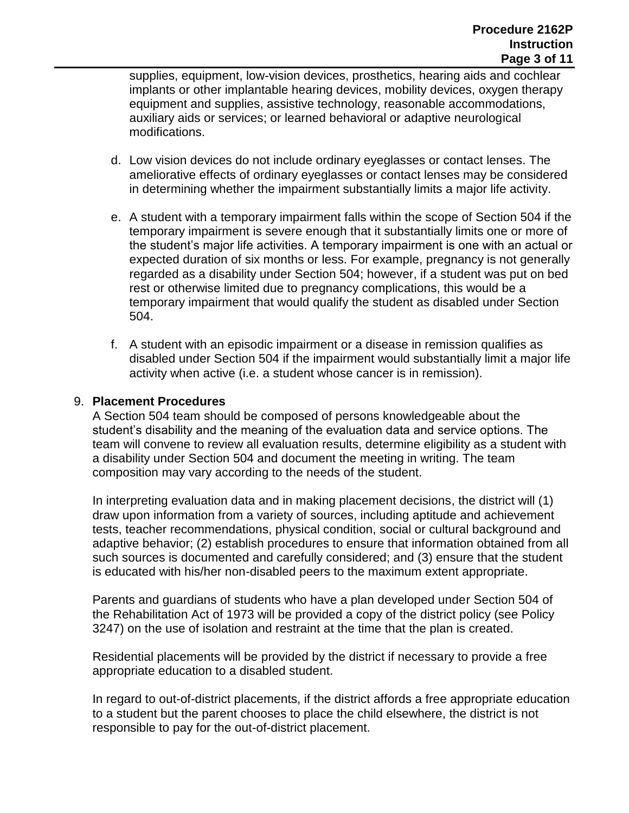supplies, equipment, low-vision devices, prosthetics, hearing aids and cochlear implants or other implantable hearing devices, mobility devices, oxygen therapy equipment and supplies, assistive technology, reasonable accommodations, auxiliary aids or services; or learned behavioral or adaptive neurological modifications.

- d. Low vision devices do not include ordinary eyeglasses or contact lenses. The ameliorative effects of ordinary eyeglasses or contact lenses may be considered in determining whether the impairment substantially limits a major life activity.
- e. A student with a temporary impairment falls within the scope of Section 504 if the temporary impairment is severe enough that it substantially limits one or more of the student's major life activities. A temporary impairment is one with an actual or expected duration of six months or less. For example, pregnancy is not generally regarded as a disability under Section 504; however, if a student was put on bed rest or otherwise limited due to pregnancy complications, this would be a temporary impairment that would qualify the student as disabled under Section 504.
- f. A student with an episodic impairment or a disease in remission qualifies as disabled under Section 504 if the impairment would substantially limit a major life activity when active (i.e. a student whose cancer is in remission).

#### 9. **Placement Procedures**

A Section 504 team should be composed of persons knowledgeable about the student's disability and the meaning of the evaluation data and service options. The team will convene to review all evaluation results, determine eligibility as a student with a disability under Section 504 and document the meeting in writing. The team composition may vary according to the needs of the student.

In interpreting evaluation data and in making placement decisions, the district will (1) draw upon information from a variety of sources, including aptitude and achievement tests, teacher recommendations, physical condition, social or cultural background and adaptive behavior; (2) establish procedures to ensure that information obtained from all such sources is documented and carefully considered; and (3) ensure that the student is educated with his/her non-disabled peers to the maximum extent appropriate.

Parents and guardians of students who have a plan developed under Section 504 of the Rehabilitation Act of 1973 will be provided a copy of the district policy (see Policy 3247) on the use of isolation and restraint at the time that the plan is created.

Residential placements will be provided by the district if necessary to provide a free appropriate education to a disabled student.

In regard to out-of-district placements, if the district affords a free appropriate education to a student but the parent chooses to place the child elsewhere, the district is not responsible to pay for the out-of-district placement.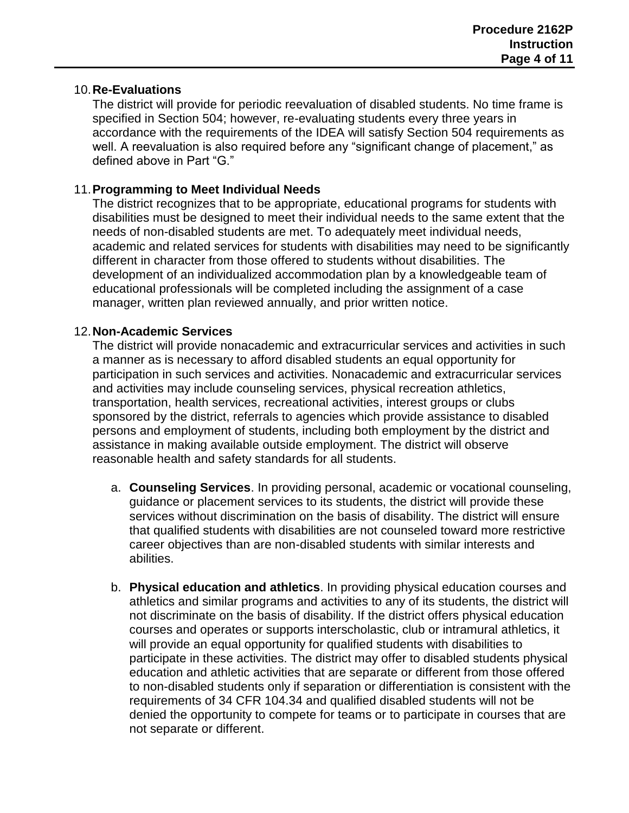#### 10.**Re-Evaluations**

The district will provide for periodic reevaluation of disabled students. No time frame is specified in Section 504; however, re-evaluating students every three years in accordance with the requirements of the IDEA will satisfy Section 504 requirements as well. A reevaluation is also required before any "significant change of placement," as defined above in Part "G."

#### 11.**Programming to Meet Individual Needs**

The district recognizes that to be appropriate, educational programs for students with disabilities must be designed to meet their individual needs to the same extent that the needs of non-disabled students are met. To adequately meet individual needs, academic and related services for students with disabilities may need to be significantly different in character from those offered to students without disabilities. The development of an individualized accommodation plan by a knowledgeable team of educational professionals will be completed including the assignment of a case manager, written plan reviewed annually, and prior written notice.

#### 12.**Non-Academic Services**

The district will provide nonacademic and extracurricular services and activities in such a manner as is necessary to afford disabled students an equal opportunity for participation in such services and activities. Nonacademic and extracurricular services and activities may include counseling services, physical recreation athletics, transportation, health services, recreational activities, interest groups or clubs sponsored by the district, referrals to agencies which provide assistance to disabled persons and employment of students, including both employment by the district and assistance in making available outside employment. The district will observe reasonable health and safety standards for all students.

- a. **Counseling Services**. In providing personal, academic or vocational counseling, guidance or placement services to its students, the district will provide these services without discrimination on the basis of disability. The district will ensure that qualified students with disabilities are not counseled toward more restrictive career objectives than are non-disabled students with similar interests and abilities.
- b. **Physical education and athletics**. In providing physical education courses and athletics and similar programs and activities to any of its students, the district will not discriminate on the basis of disability. If the district offers physical education courses and operates or supports interscholastic, club or intramural athletics, it will provide an equal opportunity for qualified students with disabilities to participate in these activities. The district may offer to disabled students physical education and athletic activities that are separate or different from those offered to non-disabled students only if separation or differentiation is consistent with the requirements of 34 CFR 104.34 and qualified disabled students will not be denied the opportunity to compete for teams or to participate in courses that are not separate or different.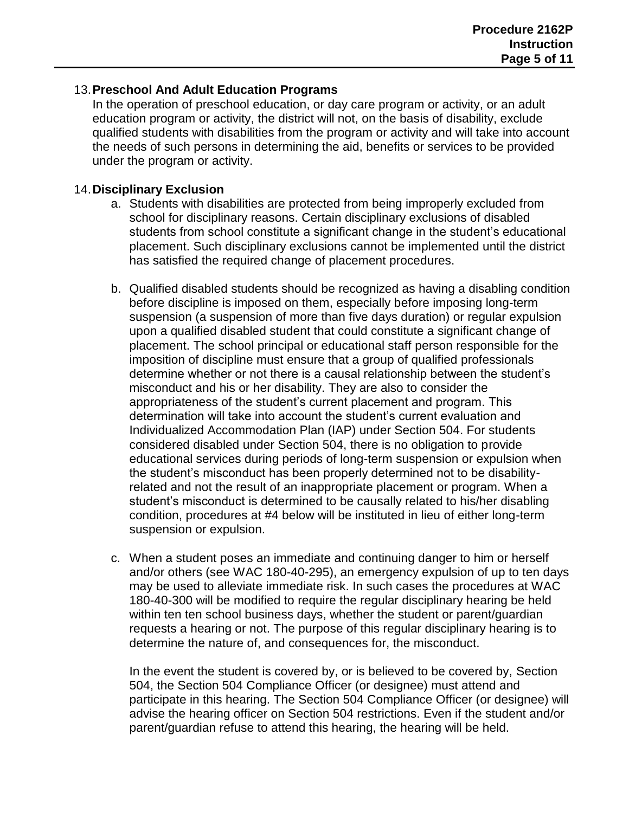### 13.**Preschool And Adult Education Programs**

In the operation of preschool education, or day care program or activity, or an adult education program or activity, the district will not, on the basis of disability, exclude qualified students with disabilities from the program or activity and will take into account the needs of such persons in determining the aid, benefits or services to be provided under the program or activity.

## 14.**Disciplinary Exclusion**

- a. Students with disabilities are protected from being improperly excluded from school for disciplinary reasons. Certain disciplinary exclusions of disabled students from school constitute a significant change in the student's educational placement. Such disciplinary exclusions cannot be implemented until the district has satisfied the required change of placement procedures.
- b. Qualified disabled students should be recognized as having a disabling condition before discipline is imposed on them, especially before imposing long-term suspension (a suspension of more than five days duration) or regular expulsion upon a qualified disabled student that could constitute a significant change of placement. The school principal or educational staff person responsible for the imposition of discipline must ensure that a group of qualified professionals determine whether or not there is a causal relationship between the student's misconduct and his or her disability. They are also to consider the appropriateness of the student's current placement and program. This determination will take into account the student's current evaluation and Individualized Accommodation Plan (IAP) under Section 504. For students considered disabled under Section 504, there is no obligation to provide educational services during periods of long-term suspension or expulsion when the student's misconduct has been properly determined not to be disabilityrelated and not the result of an inappropriate placement or program. When a student's misconduct is determined to be causally related to his/her disabling condition, procedures at #4 below will be instituted in lieu of either long-term suspension or expulsion.
- c. When a student poses an immediate and continuing danger to him or herself and/or others (see WAC 180-40-295), an emergency expulsion of up to ten days may be used to alleviate immediate risk. In such cases the procedures at WAC 180-40-300 will be modified to require the regular disciplinary hearing be held within ten ten school business days, whether the student or parent/guardian requests a hearing or not. The purpose of this regular disciplinary hearing is to determine the nature of, and consequences for, the misconduct.

In the event the student is covered by, or is believed to be covered by, Section 504, the Section 504 Compliance Officer (or designee) must attend and participate in this hearing. The Section 504 Compliance Officer (or designee) will advise the hearing officer on Section 504 restrictions. Even if the student and/or parent/guardian refuse to attend this hearing, the hearing will be held.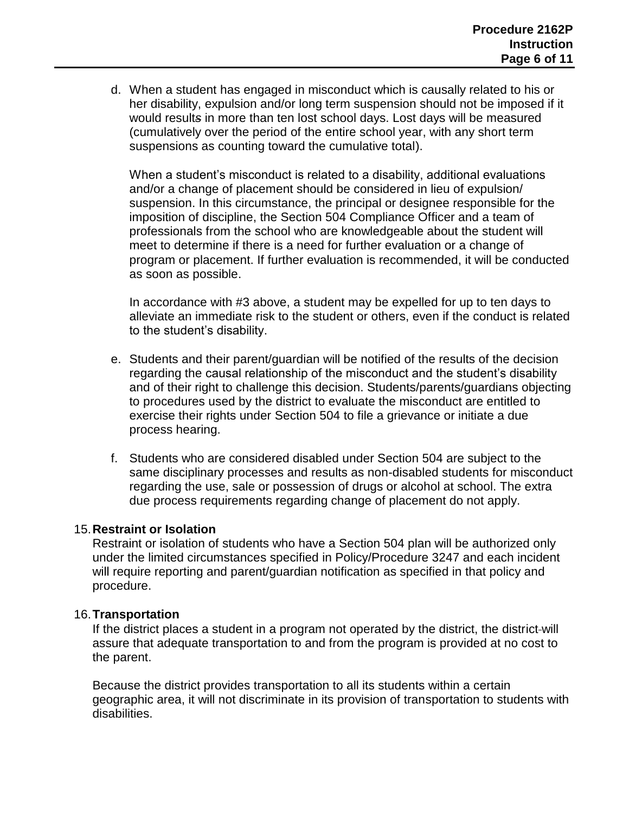d. When a student has engaged in misconduct which is causally related to his or her disability, expulsion and/or long term suspension should not be imposed if it would result*s* in more than ten lost school days. Lost days will be measured (cumulatively over the period of the entire school year, with any short term suspensions as counting toward the cumulative total).

When a student's misconduct is related to a disability, additional evaluations and/or a change of placement should be considered in lieu of expulsion/ suspension. In this circumstance, the principal or designee responsible for the imposition of discipline, the Section 504 Compliance Officer and a team of professionals from the school who are knowledgeable about the student will meet to determine if there is a need for further evaluation or a change of program or placement. If further evaluation is recommended, it will be conducted as soon as possible.

In accordance with #3 above, a student may be expelled for up to ten days to alleviate an immediate risk to the student or others, even if the conduct is related to the student's disability.

- e. Students and their parent/guardian will be notified of the results of the decision regarding the causal relationship of the misconduct and the student's disability and of their right to challenge this decision. Students/parents/guardians objecting to procedures used by the district to evaluate the misconduct are entitled to exercise their rights under Section 504 to file a grievance or initiate a due process hearing.
- f. Students who are considered disabled under Section 504 are subject to the same disciplinary processes and results as non-disabled students for misconduct regarding the use, sale or possession of drugs or alcohol at school. The extra due process requirements regarding change of placement do not apply.

#### 15.**Restraint or Isolation**

Restraint or isolation of students who have a Section 504 plan will be authorized only under the limited circumstances specified in Policy/Procedure 3247 and each incident will require reporting and parent/guardian notification as specified in that policy and procedure.

#### 16.**Transportation**

If the district places a student in a program not operated by the district, the district will assure that adequate transportation to and from the program is provided at no cost to the parent.

Because the district provides transportation to all its students within a certain geographic area, it will not discriminate in its provision of transportation to students with disabilities.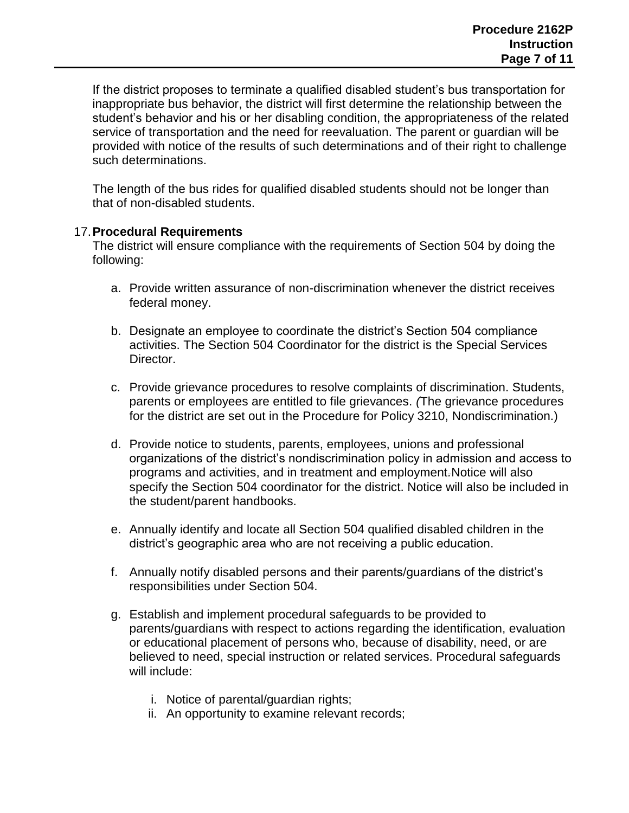If the district proposes to terminate a qualified disabled student's bus transportation for inappropriate bus behavior, the district will first determine the relationship between the student's behavior and his or her disabling condition, the appropriateness of the related service of transportation and the need for reevaluation. The parent or guardian will be provided with notice of the results of such determinations and of their right to challenge such determinations.

The length of the bus rides for qualified disabled students should not be longer than that of non-disabled students.

#### 17.**Procedural Requirements**

The district will ensure compliance with the requirements of Section 504 by doing the following:

- a. Provide written assurance of non-discrimination whenever the district receives federal money.
- b. Designate an employee to coordinate the district's Section 504 compliance activities. The Section 504 Coordinator for the district is the Special Services Director.
- c. Provide grievance procedures to resolve complaints of discrimination. Students, parents or employees are entitled to file grievances. *(*The grievance procedures for the district are set out in the Procedure for Policy 3210, Nondiscrimination.)
- d. Provide notice to students, parents, employees, unions and professional organizations of the district's nondiscrimination policy in admission and access to programs and activities, and in treatment and employment*.*Notice will also specify the Section 504 coordinator for the district. Notice will also be included in the student/parent handbooks.
- e. Annually identify and locate all Section 504 qualified disabled children in the district's geographic area who are not receiving a public education.
- f. Annually notify disabled persons and their parents/guardians of the district's responsibilities under Section 504.
- g. Establish and implement procedural safeguards to be provided to parents/guardians with respect to actions regarding the identification, evaluation or educational placement of persons who, because of disability, need, or are believed to need, special instruction or related services. Procedural safeguards will include:
	- i. Notice of parental/guardian rights;
	- ii. An opportunity to examine relevant records;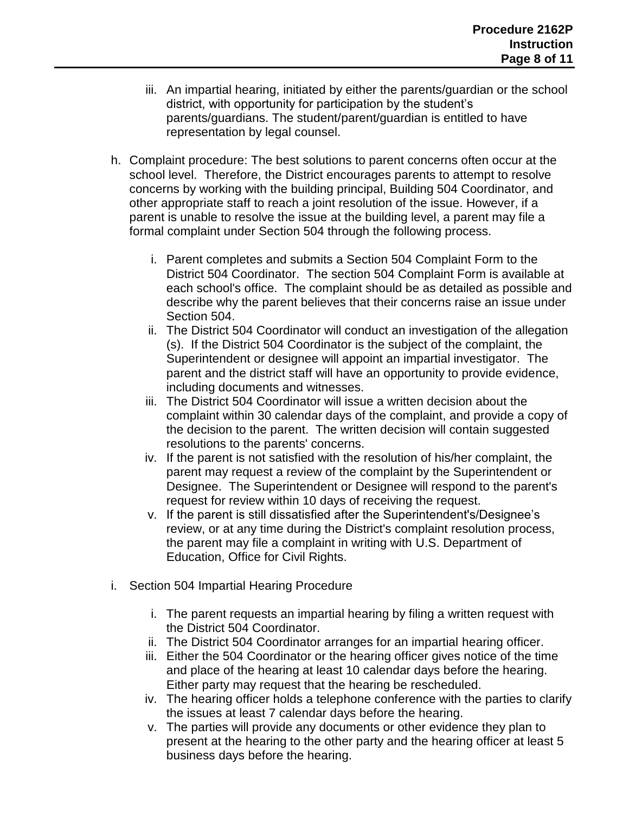- iii. An impartial hearing, initiated by either the parents/guardian or the school district, with opportunity for participation by the student's parents/guardians. The student/parent/guardian is entitled to have representation by legal counsel.
- h. Complaint procedure: The best solutions to parent concerns often occur at the school level. Therefore, the District encourages parents to attempt to resolve concerns by working with the building principal, Building 504 Coordinator, and other appropriate staff to reach a joint resolution of the issue. However, if a parent is unable to resolve the issue at the building level, a parent may file a formal complaint under Section 504 through the following process.
	- i. Parent completes and submits a Section 504 Complaint Form to the District 504 Coordinator. The section 504 Complaint Form is available at each school's office. The complaint should be as detailed as possible and describe why the parent believes that their concerns raise an issue under Section 504.
	- ii. The District 504 Coordinator will conduct an investigation of the allegation (s). If the District 504 Coordinator is the subject of the complaint, the Superintendent or designee will appoint an impartial investigator. The parent and the district staff will have an opportunity to provide evidence, including documents and witnesses.
	- iii. The District 504 Coordinator will issue a written decision about the complaint within 30 calendar days of the complaint, and provide a copy of the decision to the parent. The written decision will contain suggested resolutions to the parents' concerns.
	- iv. If the parent is not satisfied with the resolution of his/her complaint, the parent may request a review of the complaint by the Superintendent or Designee. The Superintendent or Designee will respond to the parent's request for review within 10 days of receiving the request.
	- v. If the parent is still dissatisfied after the Superintendent's/Designee's review, or at any time during the District's complaint resolution process, the parent may file a complaint in writing with U.S. Department of Education, Office for Civil Rights.
- i. Section 504 Impartial Hearing Procedure
	- i. The parent requests an impartial hearing by filing a written request with the District 504 Coordinator.
	- ii. The District 504 Coordinator arranges for an impartial hearing officer.
	- iii. Either the 504 Coordinator or the hearing officer gives notice of the time and place of the hearing at least 10 calendar days before the hearing. Either party may request that the hearing be rescheduled.
	- iv. The hearing officer holds a telephone conference with the parties to clarify the issues at least 7 calendar days before the hearing.
	- v. The parties will provide any documents or other evidence they plan to present at the hearing to the other party and the hearing officer at least 5 business days before the hearing.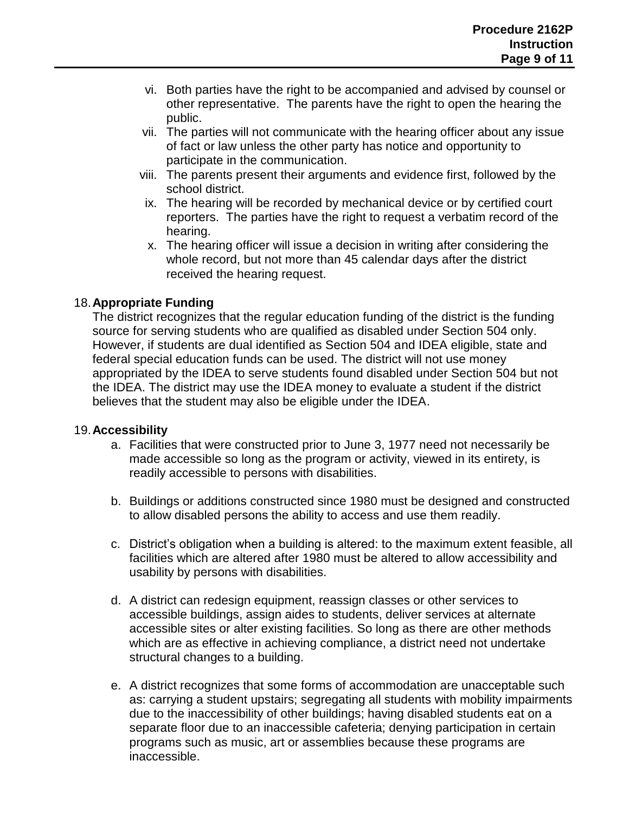- vi. Both parties have the right to be accompanied and advised by counsel or other representative. The parents have the right to open the hearing the public.
- vii. The parties will not communicate with the hearing officer about any issue of fact or law unless the other party has notice and opportunity to participate in the communication.
- viii. The parents present their arguments and evidence first, followed by the school district.
- ix. The hearing will be recorded by mechanical device or by certified court reporters. The parties have the right to request a verbatim record of the hearing.
- x. The hearing officer will issue a decision in writing after considering the whole record, but not more than 45 calendar days after the district received the hearing request.

## 18.**Appropriate Funding**

The district recognizes that the regular education funding of the district is the funding source for serving students who are qualified as disabled under Section 504 only. However, if students are dual identified as Section 504 and IDEA eligible, state and federal special education funds can be used. The district will not use money appropriated by the IDEA to serve students found disabled under Section 504 but not the IDEA. The district may use the IDEA money to evaluate a student if the district believes that the student may also be eligible under the IDEA.

#### 19.**Accessibility**

- a. Facilities that were constructed prior to June 3, 1977 need not necessarily be made accessible so long as the program or activity, viewed in its entirety, is readily accessible to persons with disabilities.
- b. Buildings or additions constructed since 1980 must be designed and constructed to allow disabled persons the ability to access and use them readily.
- c. District's obligation when a building is altered: to the maximum extent feasible, all facilities which are altered after 1980 must be altered to allow accessibility and usability by persons with disabilities.
- d. A district can redesign equipment, reassign classes or other services to accessible buildings, assign aides to students, deliver services at alternate accessible sites or alter existing facilities. So long as there are other methods which are as effective in achieving compliance, a district need not undertake structural changes to a building.
- e. A district recognizes that some forms of accommodation are unacceptable such as: carrying a student upstairs; segregating all students with mobility impairments due to the inaccessibility of other buildings; having disabled students eat on a separate floor due to an inaccessible cafeteria; denying participation in certain programs such as music, art or assemblies because these programs are inaccessible.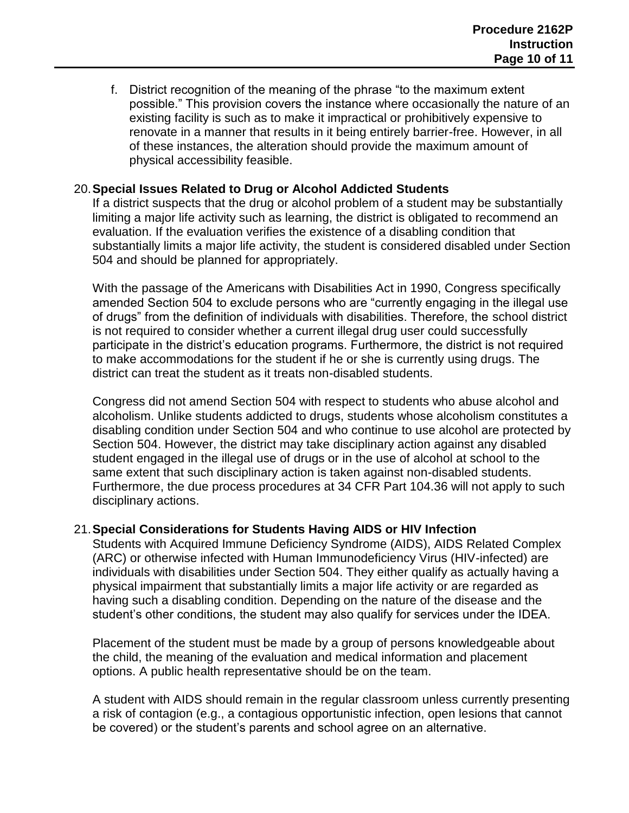f. District recognition of the meaning of the phrase "to the maximum extent possible." This provision covers the instance where occasionally the nature of an existing facility is such as to make it impractical or prohibitively expensive to renovate in a manner that results in it being entirely barrier-free. However, in all of these instances, the alteration should provide the maximum amount of physical accessibility feasible.

## 20.**Special Issues Related to Drug or Alcohol Addicted Students**

If a district suspects that the drug or alcohol problem of a student may be substantially limiting a major life activity such as learning, the district is obligated to recommend an evaluation. If the evaluation verifies the existence of a disabling condition that substantially limits a major life activity, the student is considered disabled under Section 504 and should be planned for appropriately.

With the passage of the Americans with Disabilities Act in 1990, Congress specifically amended Section 504 to exclude persons who are "currently engaging in the illegal use of drugs" from the definition of individuals with disabilities. Therefore, the school district is not required to consider whether a current illegal drug user could successfully participate in the district's education programs. Furthermore, the district is not required to make accommodations for the student if he or she is currently using drugs. The district can treat the student as it treats non-disabled students.

Congress did not amend Section 504 with respect to students who abuse alcohol and alcoholism. Unlike students addicted to drugs, students whose alcoholism constitutes a disabling condition under Section 504 and who continue to use alcohol are protected by Section 504. However, the district may take disciplinary action against any disabled student engaged in the illegal use of drugs or in the use of alcohol at school to the same extent that such disciplinary action is taken against non-disabled students. Furthermore, the due process procedures at 34 CFR Part 104.36 will not apply to such disciplinary actions.

#### 21.**Special Considerations for Students Having AIDS or HIV Infection**

Students with Acquired Immune Deficiency Syndrome (AIDS), AIDS Related Complex (ARC) or otherwise infected with Human Immunodeficiency Virus (HIV-infected) are individuals with disabilities under Section 504. They either qualify as actually having a physical impairment that substantially limits a major life activity or are regarded as having such a disabling condition. Depending on the nature of the disease and the student's other conditions, the student may also qualify for services under the IDEA.

Placement of the student must be made by a group of persons knowledgeable about the child, the meaning of the evaluation and medical information and placement options. A public health representative should be on the team.

A student with AIDS should remain in the regular classroom unless currently presenting a risk of contagion (e.g., a contagious opportunistic infection, open lesions that cannot be covered) or the student's parents and school agree on an alternative.